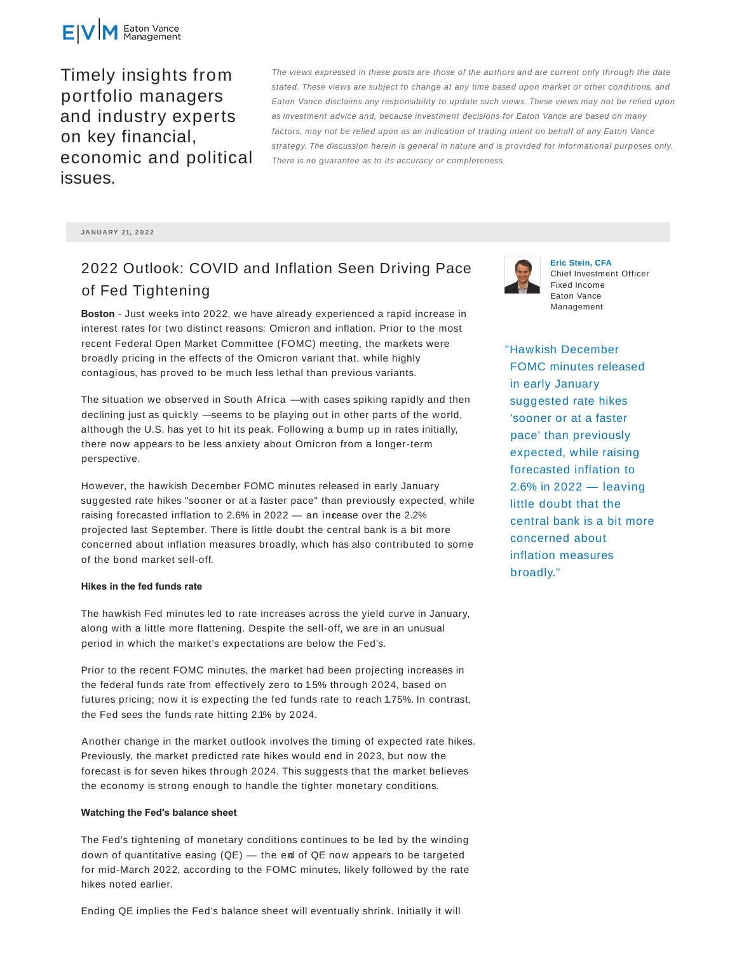

Timely insights from portfolio managers and industry experts on key financial, economic and political issues.

The views expressed in these posts are those of the authors and are current only through the date stated. These views are subject to change at any time based upon market or other conditions, and Eaton Vance disclaims any responsibility to update such views. These views may not be relied upon as investment advice and, because investment decisions for Eaton Vance are based on many factors, may not be relied upon as an indication of trading intent on behalf of any Eaton Vance strategy. The discussion herein is general in nature and is provided for informational purposes only. There is no guarantee as to its accuracy or completeness.

**JA N UA RY 21, 2 0 2 2**

# 2022 Outlook: COVID and Inflation Seen Driving Pace of Fed Tightening

**Boston** - Just weeks into 2022, we have already experienced a rapid increase in interest rates for two distinct reasons: Omicron and inflation. Prior to the most recent Federal Open Market Committee (FOMC) meeting, the markets were broadly pricing in the effects of the Omicron variant that, while highly contagious, has proved to be much less lethal than previous variants.

The situation we observed in South Africa — with cases spiking rapidly and then declining just as quickly — seems to be playing out in other parts of the world, although the U.S. has yet to hit its peak. Following a bump up in rates initially, there now appears to be less anxiety about Omicron from a longer-term perspective.

However, the hawkish December FOMC minutes released in early January suggested rate hikes "sooner or at a faster pace" than previously expected, while raising forecasted inflation to 2.6% in 2022  $-$  an incease over the 2.2% projected last September. There is little doubt the central bank is a bit more concerned about inflation measures broadly, which has also contributed to some of the bond market sell-off.

#### **Hikes in the fed funds rate**

The hawkish Fed minutes led to rate increases across the yield curve in January, along with a little more flattening. Despite the sell-off, we are in an unusual period in which the market's expectations are below the Fed's.

Prior to the recent FOMC minutes, the market had been projecting increases in the federal funds rate from effectively zero to 1.5% through 2024, based on futures pricing; now it is expecting the fed funds rate to reach 1.75%. In contrast, the Fed sees the funds rate hitting 2.1% by 2024.

Another change in the market outlook involves the timing of expected rate hikes. Previously, the market predicted rate hikes would end in 2023, but now the forecast is for seven hikes through 2024. This suggests that the market believes the economy is strong enough to handle the tighter monetary conditions.

### **Watching the Fed's balance sheet**

The Fed's tightening of monetary conditions continues to be led by the winding down of quantitative easing (QE) — the end of QE now appears to be targeted for mid-March 2022, according to the FOMC minutes, likely followed by the rate hikes noted earlier.

Ending QE implies the Fed's balance sheet will eventually shrink. Initially it will



**Eric Stein, CFA** Chief Investment Officer Fixed Income Eaton Vance Management

"Hawkish December FOMC minutes released in early January suggested rate hikes 'sooner or at a faster pace' than previously expected, while raising forecasted inflation to 2.6% in 2022 — leaving little doubt that the central bank is a bit more concerned about inflation measures broadly."